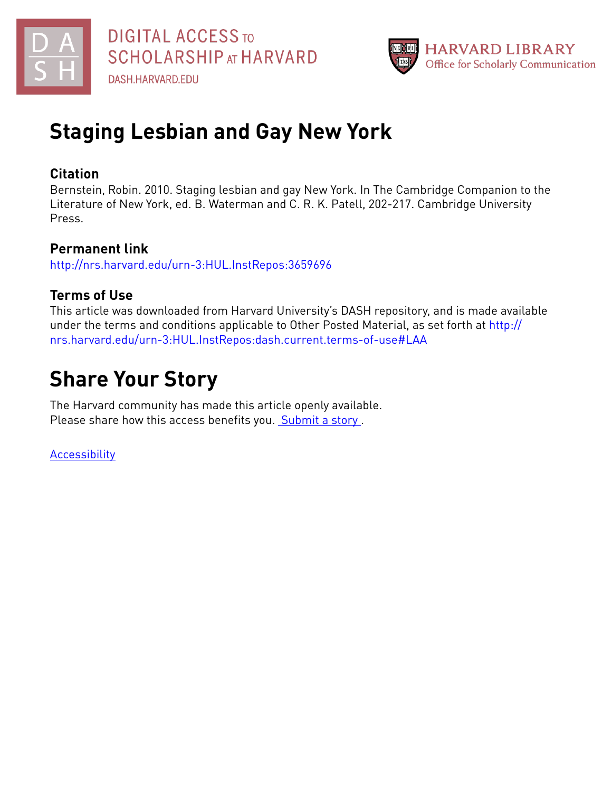



## **Citation**

Bernstein, Robin. 2010. Staging lesbian and gay New York. In The Cambridge Companion to the Literature of New York, ed. B. Waterman and C. R. K. Patell, 202-217. Cambridge University Press.

### **Permanent link**

<http://nrs.harvard.edu/urn-3:HUL.InstRepos:3659696>

## **Terms of Use**

This article was downloaded from Harvard University's DASH repository, and is made available under the terms and conditions applicable to Other Posted Material, as set forth at [http://](http://nrs.harvard.edu/urn-3:HUL.InstRepos:dash.current.terms-of-use#LAA) [nrs.harvard.edu/urn-3:HUL.InstRepos:dash.current.terms-of-use#LAA](http://nrs.harvard.edu/urn-3:HUL.InstRepos:dash.current.terms-of-use#LAA)

# **Share Your Story**

The Harvard community has made this article openly available. Please share how this access benefits you. [Submit](http://osc.hul.harvard.edu/dash/open-access-feedback?handle=&title=Staging%20Lesbian%20and%20Gay%20New%20York&community=1/1&collection=1/2&owningCollection1/2&harvardAuthors=ed6713bc94329cb3f723388fa5f130fc&departmentOther%20Research%20Unit) a story .

**[Accessibility](https://dash.harvard.edu/pages/accessibility)**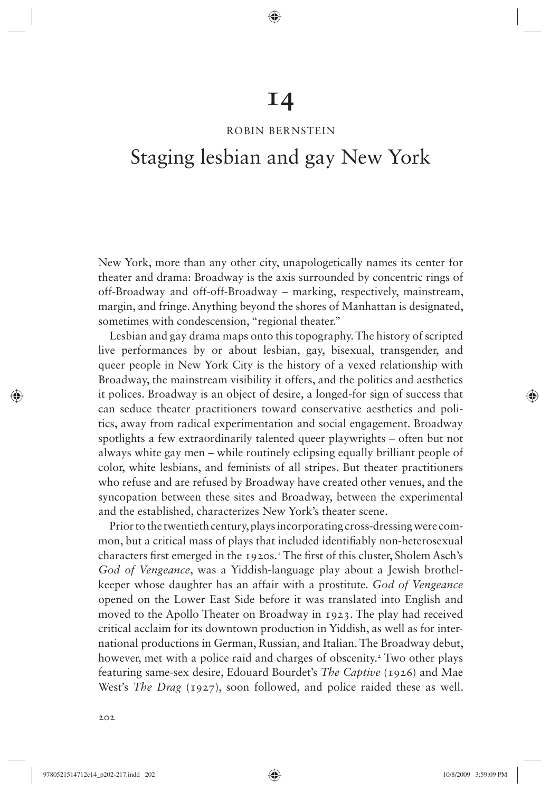## **14**

♠

#### ROBIN BERNSTEIN

## Staging lesbian and gay New York

New York, more than any other city, unapologetically names its center for theater and drama: Broadway is the axis surrounded by concentric rings of off-Broadway and off-off-Broadway – marking, respectively, mainstream, margin, and fringe. Anything beyond the shores of Manhattan is designated, sometimes with condescension, "regional theater."

Lesbian and gay drama maps onto this topography. The history of scripted live performances by or about lesbian, gay, bisexual, transgender, and queer people in New York City is the history of a vexed relationship with Broadway, the mainstream visibility it offers, and the politics and aesthetics it polices. Broadway is an object of desire, a longed-for sign of success that can seduce theater practitioners toward conservative aesthetics and politics, away from radical experimentation and social engagement. Broadway spotlights a few extraordinarily talented queer playwrights – often but not always white gay men – while routinely eclipsing equally brilliant people of color, white lesbians, and feminists of all stripes. But theater practitioners who refuse and are refused by Broadway have created other venues, and the syncopation between these sites and Broadway, between the experimental and the established, characterizes New York's theater scene.

Prior to the twentieth century, plays incorporating cross-dressing were common, but a critical mass of plays that included identifiably non-heterosexual characters first emerged in the 1920s.<sup>1</sup> The first of this cluster, Sholem Asch's *God of Vengeance*, was a Yiddish-language play about a Jewish brothelkeeper whose daughter has an affair with a prostitute *. God of Vengeance* opened on the Lower East Side before it was translated into English and moved to the Apollo Theater on Broadway in 1923. The play had received critical acclaim for its downtown production in Yiddish, as well as for international productions in German, Russian, and Italian. The Broadway debut, however, met with a police raid and charges of obscenity.<sup>2</sup> Two other plays featuring same-sex desire, Edouard Bourdet's *The Captive* (1926) and Mae West's *The Drag* (1927), soon followed, and police raided these as well.

◈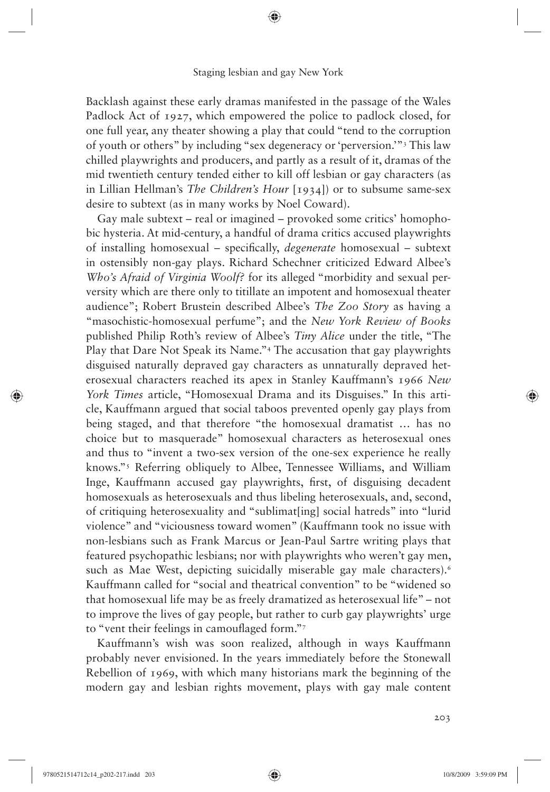⊕

Backlash against these early dramas manifested in the passage of the Wales Padlock Act of 1927, which empowered the police to padlock closed, for one full year, any theater showing a play that could "tend to the corruption of youth or others" by including "sex degeneracy or 'perversion."<sup>3</sup> This law chilled playwrights and producers, and partly as a result of it, dramas of the mid twentieth century tended either to kill off lesbian or gay characters (as in Lillian Hellman's *The Children's Hour* [1934]) or to subsume same-sex desire to subtext (as in many works by Noel Coward).

Gay male subtext – real or imagined – provoked some critics' homophobic hysteria. At mid-century, a handful of drama critics accused playwrights of installing homosexual – specifically, *degenerate* homosexual – subtext in ostensibly non-gay plays. Richard Schechner criticized Edward Albee's *Who's Afraid of Virginia Woolf?* for its alleged "morbidity and sexual perversity which are there only to titillate an impotent and homosexual theater audience"; Robert Brustein described Albee's *The Zoo Story* as having a "masochistic-homosexual perfume"; and the *New York Review of Books* published Philip Roth's review of Albee's *Tiny Alice* under the title, "The Play that Dare Not Speak its Name."<sup>4</sup> The accusation that gay playwrights disguised naturally depraved gay characters as unnaturally depraved heterosexual characters reached its apex in Stanley Kauffmann's 1966 *New York Times* article, "Homosexual Drama and its Disguises." In this article, Kauffmann argued that social taboos prevented openly gay plays from being staged, and that therefore "the homosexual dramatist … has no choice but to masquerade" homosexual characters as heterosexual ones and thus to "invent a two-sex version of the one-sex experience he really knows."<sup>5</sup> Referring obliquely to Albee, Tennessee Williams, and William Inge, Kauffmann accused gay playwrights, first, of disguising decadent homosexuals as heterosexuals and thus libeling heterosexuals, and, second, of critiquing heterosexuality and "sublimat[ing] social hatreds" into "lurid violence" and "viciousness toward women" (Kauffmann took no issue with non-lesbians such as Frank Marcus or Jean-Paul Sartre writing plays that featured psychopathic lesbians; nor with playwrights who weren't gay men, such as Mae West, depicting suicidally miserable gay male characters).<sup>6</sup> Kauffmann called for "social and theatrical convention" to be "widened so that homosexual life may be as freely dramatized as heterosexual life" – not to improve the lives of gay people, but rather to curb gay playwrights' urge to "vent their feelings in camouflaged form."

Kauffmann's wish was soon realized, although in ways Kauffmann probably never envisioned. In the years immediately before the Stonewall Rebellion of 1969, with which many historians mark the beginning of the modern gay and lesbian rights movement, plays with gay male content

203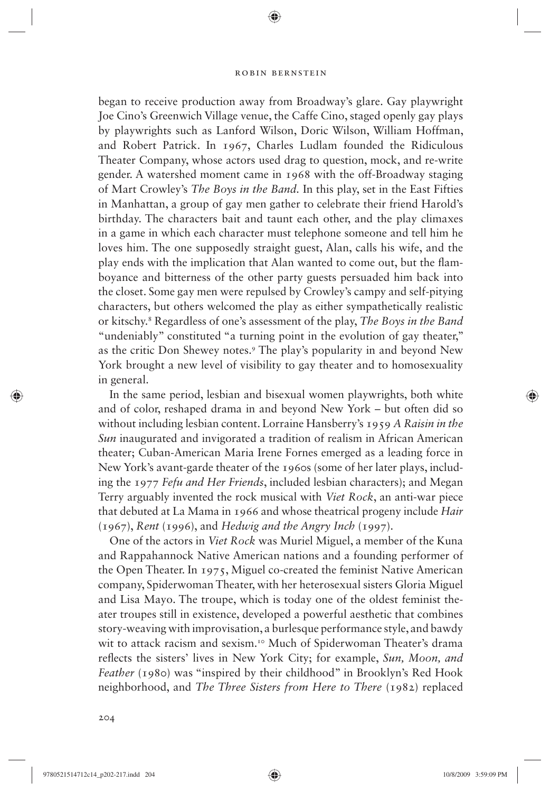♠

began to receive production away from Broadway's glare. Gay playwright Joe Cino's Greenwich Village venue, the Caffe Cino, staged openly gay plays by playwrights such as Lanford Wilson, Doric Wilson, William Hoffman, and Robert Patrick. In 1967, Charles Ludlam founded the Ridiculous Theater Company, whose actors used drag to question, mock, and re-write gender. A watershed moment came in 1968 with the off-Broadway staging of Mart Crowley's *The Boys in the Band.* In this play, set in the East Fifties in Manhattan, a group of gay men gather to celebrate their friend Harold's birthday. The characters bait and taunt each other, and the play climaxes in a game in which each character must telephone someone and tell him he loves him. The one supposedly straight guest, Alan, calls his wife, and the play ends with the implication that Alan wanted to come out, but the flamboyance and bitterness of the other party guests persuaded him back into the closet. Some gay men were repulsed by Crowley's campy and self-pitying characters, but others welcomed the play as either sympathetically realistic or kitschy. 8 Regardless of one's assessment of the play, *The Boys in the Band* "undeniably" constituted "a turning point in the evolution of gay theater," as the critic Don Shewey notes.<sup>9</sup> The play's popularity in and beyond New York brought a new level of visibility to gay theater and to homosexuality in general.

In the same period, lesbian and bisexual women playwrights, both white and of color, reshaped drama in and beyond New York – but often did so without including lesbian content. Lorraine Hansberry's 1959 *A Raisin in the Sun* inaugurated and invigorated a tradition of realism in African American theater; Cuban-American Maria Irene Fornes emerged as a leading force in New York's avant-garde theater of the 1960s (some of her later plays, including the 1977 *Fefu and Her Friends*, included lesbian characters); and Megan Terry arguably invented the rock musical with *Viet Rock*, an anti-war piece that debuted at La Mama in 1966 and whose theatrical progeny include *Hair* (1967), *Rent* (1996), and *Hedwig and the Angry Inch* (1997).

One of the actors in *Viet Rock* was Muriel Miguel, a member of the Kuna and Rappahannock Native American nations and a founding performer of the Open Theater.In 1975, Miguel co-created the feminist Native American company, Spiderwoman Theater, with her heterosexual sisters Gloria Miguel and Lisa Mayo. The troupe, which is today one of the oldest feminist theater troupes still in existence, developed a powerful aesthetic that combines story-weaving with improvisation, a burlesque performance style, and bawdy wit to attack racism and sexism.<sup>10</sup> Much of Spiderwoman Theater's drama reflects the sisters' lives in New York City; for example, *Sun*, *Moon*, and Feather (1980) was "inspired by their childhood" in Brooklyn's Red Hook neighborhood, and *The Three Sisters from Here to There* (1982) replaced

(⊕)

◈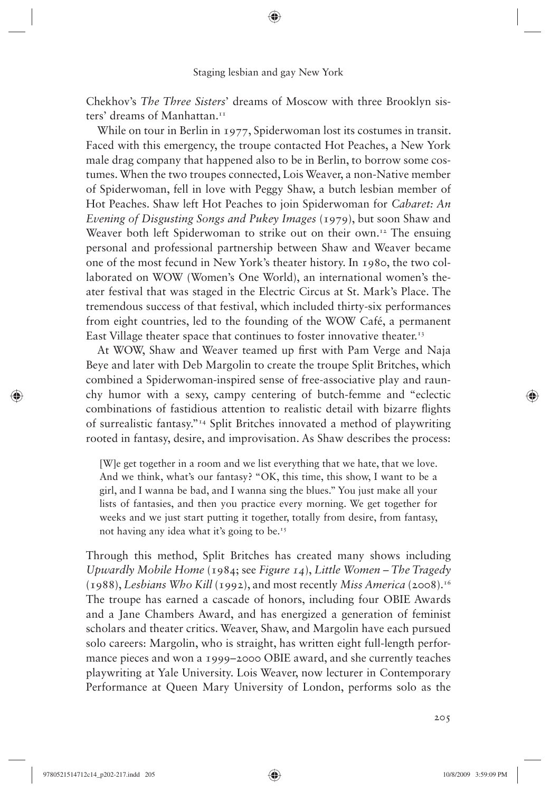⊕

Chekhov's *The Three Sisters*' dreams of Moscow with three Brooklyn sisters' dreams of Manhattan.<sup>11</sup>

While on tour in Berlin in 1977, Spiderwoman lost its costumes in transit. Faced with this emergency, the troupe contacted Hot Peaches, a New York male drag company that happened also to be in Berlin, to borrow some costumes. When the two troupes connected, Lois Weaver, a non-Native member of Spiderwoman, fell in love with Peggy Shaw, a butch lesbian member of Hot Peaches. Shaw left Hot Peaches to join Spiderwoman for *Cabaret: An Evening of Disgusting Songs and Pukey Images* (1979), but soon Shaw and Weaver both left Spiderwoman to strike out on their own.<sup>12</sup> The ensuing personal and professional partnership between Shaw and Weaver became one of the most fecund in New York's theater history. In 1980, the two collaborated on WOW (Women's One World), an international women's theater festival that was staged in the Electric Circus at St. Mark's Place. The tremendous success of that festival, which included thirty-six performances from eight countries, led to the founding of the WOW Café, a permanent East Village theater space that continues to foster innovative theater.<sup>13</sup>

At WOW, Shaw and Weaver teamed up first with Pam Verge and Naja Beye and later with Deb Margolin to create the troupe Split Britches, which combined a Spiderwoman-inspired sense of free-associative play and raunchy humor with a sexy, campy centering of butch-femme and "eclectic combinations of fastidious attention to realistic detail with bizarre flights of surrealistic fantasy." 14 Split Britches innovated a method of playwriting rooted in fantasy, desire, and improvisation. As Shaw describes the process:

[W]e get together in a room and we list everything that we hate, that we love. And we think, what's our fantasy? "OK, this time, this show, I want to be a girl, and I wanna be bad, and I wanna sing the blues." You just make all your lists of fantasies, and then you practice every morning. We get together for weeks and we just start putting it together, totally from desire, from fantasy, not having any idea what it's going to be.<sup>15</sup>

Through this method, Split Britches has created many shows including *Upwardly Mobile Home* (1984; see *Figure 14*), *Little Women – The Tragedy* (1988), *Lesbians Who Kill* (1992), and most recently *Miss America* (2008). 16 The troupe has earned a cascade of honors, including four OBIE Awards and a Jane Chambers Award, and has energized a generation of feminist scholars and theater critics. Weaver, Shaw, and Margolin have each pursued solo careers: Margolin, who is straight, has written eight full-length performance pieces and won a 1999–2000 OBIE award, and she currently teaches playwriting at Yale University. Lois Weaver, now lecturer in Contemporary Performance at Queen Mary University of London, performs solo as the

205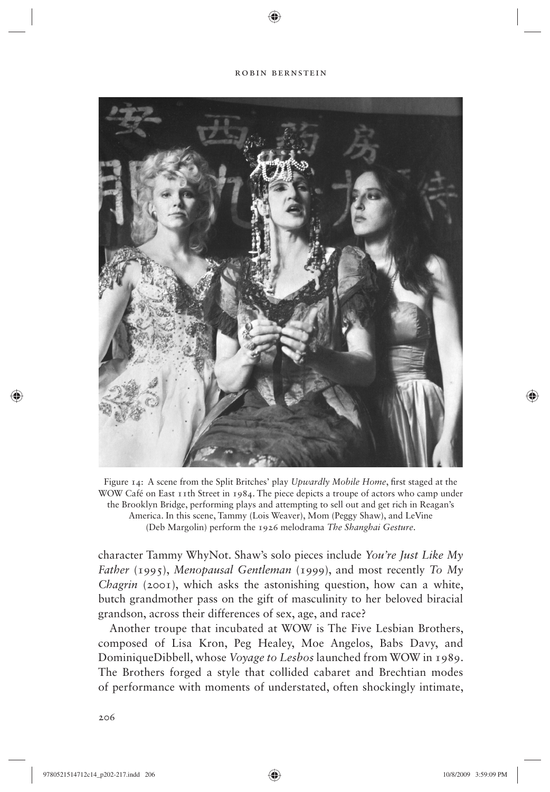⊕



Figure 14: A scene from the Split Britches' play *Upwardly Mobile Home*, first staged at the WOW Café on East 11th Street in 1984. The piece depicts a troupe of actors who camp under the Brooklyn Bridge, performing plays and attempting to sell out and get rich in Reagan's America. In this scene, Tammy (Lois Weaver), Mom (Peggy Shaw), and LeVine (Deb Margolin) perform the 1926 melodrama *The Shanghai Gesture*.

character Tammy WhyNot. Shaw's solo pieces include *You're Just Like My Father* (1995), *Menopausal Gentleman* (1999), and most recently *To My Chagrin* (2001), which asks the astonishing question, how can a white, butch grandmother pass on the gift of masculinity to her beloved biracial grandson, across their differences of sex, age, and race?

Another troupe that incubated at WOW is The Five Lesbian Brothers, composed of Lisa Kron, Peg Healey, Moe Angelos, Babs Davy, and Dominique Dibbell, whose *Voyage to Lesbos* launched from WOW in 1989. The Brothers forged a style that collided cabaret and Brechtian modes of performance with moments of understated, often shockingly intimate,

206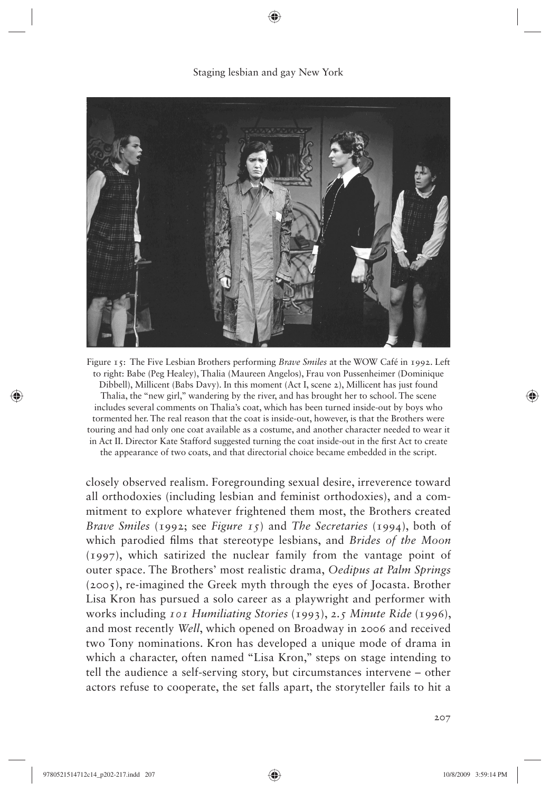



Figure 15: The Five Lesbian Brothers performing *Brave Smiles* at the WOW Café in 1992. Left to right: Babe (Peg Healey), Thalia (Maureen Angelos), Frau von Pussenheimer (Dominique Dibbell), Millicent (Babs Davy). In this moment (Act I, scene 2), Millicent has just found Thalia, the "new girl," wandering by the river, and has brought her to school. The scene includes several comments on Thalia's coat, which has been turned inside-out by boys who tormented her. The real reason that the coat is inside-out, however, is that the Brothers were touring and had only one coat available as a costume, and another character needed to wear it in Act II. Director Kate Stafford suggested turning the coat inside-out in the first Act to create the appearance of two coats, and that directorial choice became embedded in the script.

closely observed realism. Foregrounding sexual desire, irreverence toward all orthodoxies (including lesbian and feminist orthodoxies), and a commitment to explore whatever frightened them most, the Brothers created *Brave Smiles* (1992; see *Figure 15*) and *The Secretaries* (1994), both of which parodied films that stereotype lesbians, and *Brides of the Moon* (1997), which satirized the nuclear family from the vantage point of outer space. The Brothers' most realistic drama, *Oedipus at Palm Springs* (2005), re-imagined the Greek myth through the eyes of Jocasta. Brother Lisa Kron has pursued a solo career as a playwright and performer with works including *101 Humiliating Stories* (1993), *2.5 Minute Ride* (1996), and most recently *Well*, which opened on Broadway in 2006 and received two Tony nominations. Kron has developed a unique mode of drama in which a character, often named "Lisa Kron," steps on stage intending to tell the audience a self-serving story, but circumstances intervene – other actors refuse to cooperate, the set falls apart, the storyteller fails to hit a

207

◈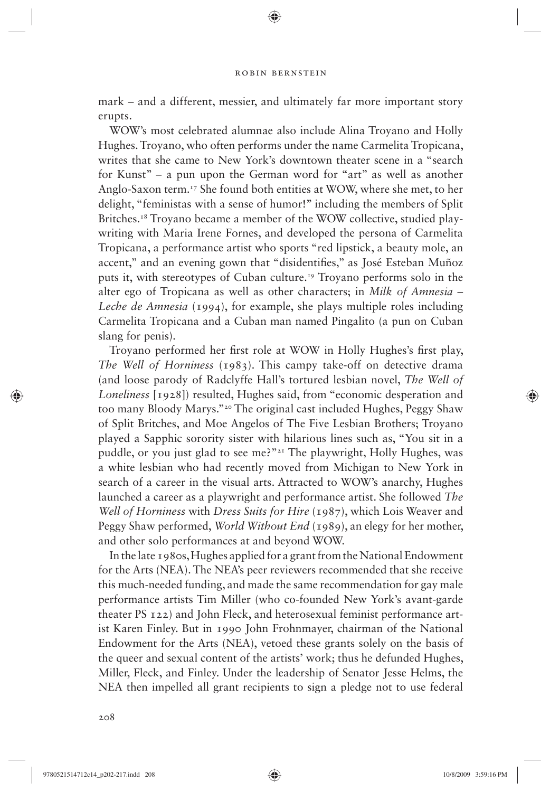♠

mark – and a different, messier, and ultimately far more important story erupts.

WOW's most celebrated alumnae also include Alina Troyano and Holly Hughes. Troyano, who often performs under the name Carmelita Tropicana, writes that she came to New York's downtown theater scene in a "search for Kunst" – a pun upon the German word for "art" as well as another Anglo-Saxon term.<sup>17</sup> She found both entities at WOW, where she met, to her delight, "feministas with a sense of humor!" including the members of Split Britches. 18 Troyano became a member of the WOW collective, studied playwriting with Maria Irene Fornes, and developed the persona of Carmelita Tropicana, a performance artist who sports "red lipstick, a beauty mole, an accent," and an evening gown that "disidentifies," as José Esteban Muñoz puts it, with stereotypes of Cuban culture.<sup>19</sup> Troyano performs solo in the alter ego of Tropicana as well as other characters; in *Milk of Amnesia* – *Leche de Amnesia* (1994), for example, she plays multiple roles including Carmelita Tropicana and a Cuban man named Pingalito (a pun on Cuban slang for penis).

Troyano performed her first role at WOW in Holly Hughes's first play, *The Well of Horniness* (1983). This campy take-off on detective drama (and loose parody of Radclyffe Hall's tortured lesbian novel, *The Well of Loneliness* [1928]) resulted, Hughes said, from "economic desperation and too many Bloody Marys."<sup>20</sup> The original cast included Hughes, Peggy Shaw of Split Britches, and Moe Angelos of The Five Lesbian Brothers; Troyano played a Sapphic sorority sister with hilarious lines such as, "You sit in a puddle, or you just glad to see me?"<sup>21</sup> The playwright, Holly Hughes, was a white lesbian who had recently moved from Michigan to New York in search of a career in the visual arts. Attracted to WOW's anarchy, Hughes launched a career as a playwright and performance artist. She followed *The Well of Horniness* with *Dress Suits for Hire* (1987), which Lois Weaver and Peggy Shaw performed, *World Without End* (1989), an elegy for her mother, and other solo performances at and beyond WOW.

In the late 1980s, Hughes applied for a grant from the National Endowment for the Arts (NEA). The NEA's peer reviewers recommended that she receive this much-needed funding, and made the same recommendation for gay male performance artists Tim Miller (who co-founded New York's avant-garde theater PS 122) and John Fleck, and heterosexual feminist performance artist Karen Finley. But in 1990 John Frohnmayer, chairman of the National Endowment for the Arts (NEA), vetoed these grants solely on the basis of the queer and sexual content of the artists' work; thus he defunded Hughes, Miller, Fleck, and Finley. Under the leadership of Senator Jesse Helms, the NEA then impelled all grant recipients to sign a pledge not to use federal

(♠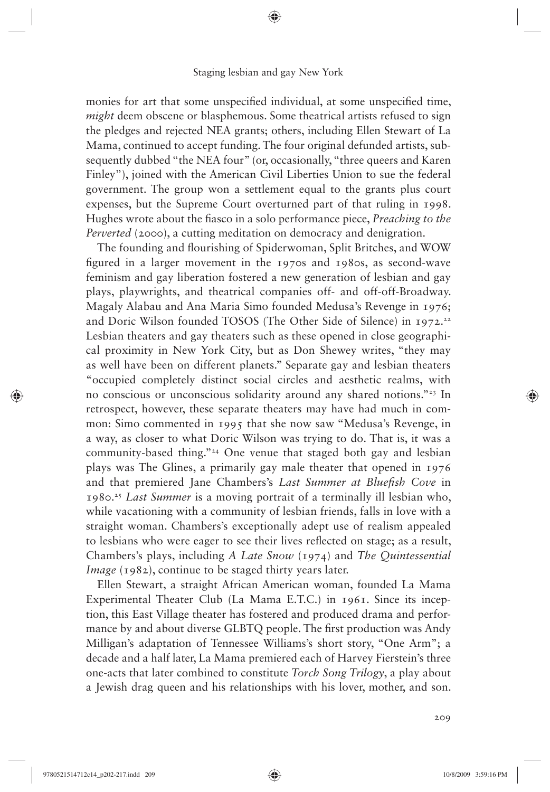♠

monies for art that some unspecified individual, at some unspecified time, *might* deem obscene or blasphemous. Some theatrical artists refused to sign the pledges and rejected NEA grants; others, including Ellen Stewart of La Mama, continued to accept funding. The four original defunded artists, subsequently dubbed "the NEA four" (or, occasionally, "three queers and Karen Finley"), joined with the American Civil Liberties Union to sue the federal government. The group won a settlement equal to the grants plus court expenses, but the Supreme Court overturned part of that ruling in 1998. Hughes wrote about the fiasco in a solo performance piece, *Preaching to the Perverted* (2000), a cutting meditation on democracy and denigration.

The founding and flourishing of Spiderwoman, Split Britches, and WOW figured in a larger movement in the 1970s and 1980s, as second-wave feminism and gay liberation fostered a new generation of lesbian and gay plays, playwrights, and theatrical companies off- and off-off-Broadway. Magaly Alabau and Ana Maria Simo founded Medusa's Revenge in 1976; and Doric Wilson founded TOSOS (The Other Side of Silence) in  $1972$ .<sup>22</sup> Lesbian theaters and gay theaters such as these opened in close geographical proximity in New York City, but as Don Shewey writes, "they may as well have been on different planets." Separate gay and lesbian theaters "occupied completely distinct social circles and aesthetic realms, with no conscious or unconscious solidarity around any shared notions." 23 In retrospect, however, these separate theaters may have had much in common: Simo commented in 1995 that she now saw "Medusa's Revenge, in a way, as closer to what Doric Wilson was trying to do. That is, it was a community-based thing."<sup>24</sup> One venue that staged both gay and lesbian plays was The Glines, a primarily gay male theater that opened in 1976 and that premiered Jane Chambers's *Last Summer at Bluefish Cove* in 1980. 25 *Last Summer* is a moving portrait of a terminally ill lesbian who, while vacationing with a community of lesbian friends, falls in love with a straight woman. Chambers's exceptionally adept use of realism appealed to lesbians who were eager to see their lives reflected on stage; as a result, Chambers's plays, including *A Late Snow* (1974) and *The Quintessential Image* (1982), continue to be staged thirty years later.

Ellen Stewart, a straight African American woman, founded La Mama Experimental Theater Club (La Mama E.T.C.) in 1961. Since its inception, this East Village theater has fostered and produced drama and performance by and about diverse GLBTQ people. The first production was Andy Milligan's adaptation of Tennessee Williams's short story, "One Arm"; a decade and a half later, La Mama premiered each of Harvey Fierstein's three one-acts that later combined to constitute *Torch Song Trilogy*, a play about a Jewish drag queen and his relationships with his lover, mother, and son.

209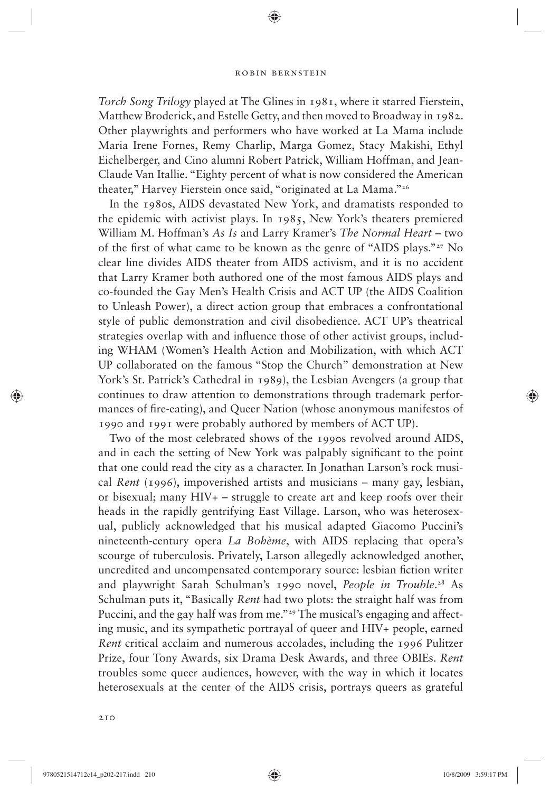♠

*Torch Song Trilogy* played at The Glines in 1981, where it starred Fierstein, Matthew Broderick, and Estelle Getty, and then moved to Broadway in 1982. Other playwrights and performers who have worked at La Mama include Maria Irene Fornes, Remy Charlip, Marga Gomez, Stacy Makishi, Ethyl Eichelberger, and Cino alumni Robert Patrick, William Hoffman, and Jean-Claude Van Itallie. "Eighty percent of what is now considered the American theater," Harvey Fierstein once said, "originated at La Mama."<sup>26</sup>

In the 1980s, AIDS devastated New York, and dramatists responded to the epidemic with activist plays. In 1985, New York's theaters premiered William M. Hoffman's *As Is* and Larry Kramer's *The Normal Heart* – two of the first of what came to be known as the genre of "AIDS plays."<sup>27</sup> No clear line divides AIDS theater from AIDS activism, and it is no accident that Larry Kramer both authored one of the most famous AIDS plays and co-founded the Gay Men's Health Crisis and ACT UP (the AIDS Coalition to Unleash Power), a direct action group that embraces a confrontational style of public demonstration and civil disobedience. ACT UP's theatrical strategies overlap with and influence those of other activist groups, including WHAM (Women's Health Action and Mobilization, with which ACT UP collaborated on the famous "Stop the Church" demonstration at New York's St. Patrick's Cathedral in 1989), the Lesbian Avengers (a group that continues to draw attention to demonstrations through trademark performances of fire-eating), and Queer Nation (whose anonymous manifestos of 1990 and 1991 were probably authored by members of ACT UP).

Two of the most celebrated shows of the 1990s revolved around AIDS, and in each the setting of New York was palpably significant to the point that one could read the city as a character. In Jonathan Larson's rock musical *Rent* (1996), impoverished artists and musicians – many gay, lesbian, or bisexual; many HIV+ – struggle to create art and keep roofs over their heads in the rapidly gentrifying East Village. Larson, who was heterosexual, publicly acknowledged that his musical adapted Giacomo Puccini's nineteenth-century opera *La Bohème*, with AIDS replacing that opera's scourge of tuberculosis. Privately, Larson allegedly acknowledged another, uncredited and uncompensated contemporary source: lesbian fiction writer and playwright Sarah Schulman's 1990 novel, *People in Trouble*.<sup>28</sup> As Schulman puts it, "Basically *Rent* had two plots: the straight half was from Puccini, and the gay half was from me." 29 The musical's engaging and affecting music, and its sympathetic portrayal of queer and HIV+ people, earned *Rent* critical acclaim and numerous accolades, including the 1996 Pulitzer Prize, four Tony Awards, six Drama Desk Awards, and three OBIEs. *Rent* troubles some queer audiences, however, with the way in which it locates heterosexuals at the center of the AIDS crisis, portrays queers as grateful

(♠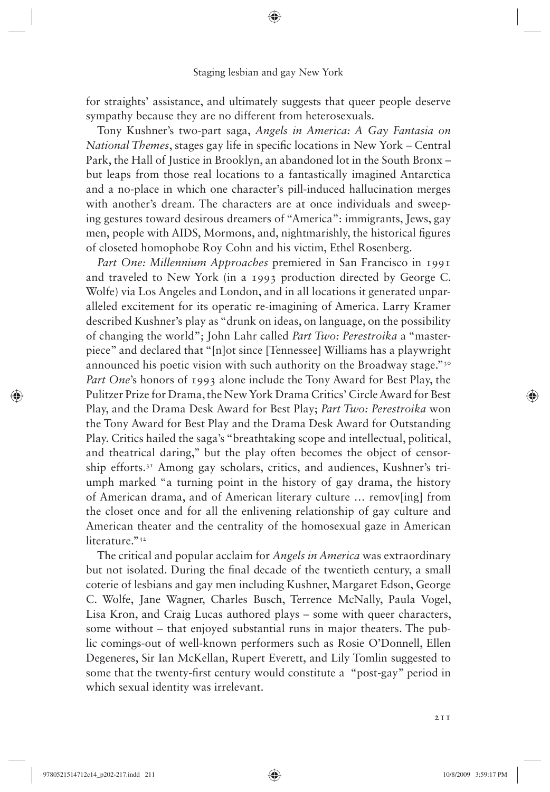♠

for straights' assistance, and ultimately suggests that queer people deserve sympathy because they are no different from heterosexuals.

Tony Kushner's two-part saga, *Angels in America: A Gay Fantasia on National Themes*, stages gay life in specific locations in New York – Central Park, the Hall of Justice in Brooklyn, an abandoned lot in the South Bronx – but leaps from those real locations to a fantastically imagined Antarctica and a no-place in which one character's pill-induced hallucination merges with another's dream. The characters are at once individuals and sweeping gestures toward desirous dreamers of "America": immigrants, Jews, gay men, people with AIDS, Mormons, and, nightmarishly, the historical figures of closeted homophobe Roy Cohn and his victim, Ethel Rosenberg.

*Part One: Millennium Approaches* premiered in San Francisco in 1991 and traveled to New York (in a 1993 production directed by George C. Wolfe) via Los Angeles and London, and in all locations it generated unparalleled excitement for its operatic re-imagining of America. Larry Kramer described Kushner's play as "drunk on ideas, on language, on the possibility of changing the world"; John Lahr called *Part Two: Perestroika* a "masterpiece" and declared that "[n]ot since [Tennessee] Williams has a playwright announced his poetic vision with such authority on the Broadway stage."<sup>30</sup> Part One's honors of 1993 alone include the Tony Award for Best Play, the Pulitzer Prize for Drama, the New York Drama Critics' Circle Award for Best Play, and the Drama Desk Award for Best Play; *Part Two: Perestroika* won the Tony Award for Best Play and the Drama Desk Award for Outstanding Play. Critics hailed the saga's "breathtaking scope and intellectual, political, and theatrical daring," but the play often becomes the object of censorship efforts.<sup>31</sup> Among gay scholars, critics, and audiences, Kushner's triumph marked "a turning point in the history of gay drama, the history of American drama, and of American literary culture … remov[ing] from the closet once and for all the enlivening relationship of gay culture and American theater and the centrality of the homosexual gaze in American literature."<sup>32</sup>

The critical and popular acclaim for *Angels in America* was extraordinary but not isolated. During the final decade of the twentieth century, a small coterie of lesbians and gay men including Kushner, Margaret Edson, George C. Wolfe, Jane Wagner, Charles Busch, Terrence McNally, Paula Vogel, Lisa Kron, and Craig Lucas authored plays – some with queer characters, some without – that enjoyed substantial runs in major theaters. The public comings-out of well-known performers such as Rosie O'Donnell, Ellen Degeneres, Sir Ian McKellan, Rupert Everett, and Lily Tomlin suggested to some that the twenty-first century would constitute a "post-gay" period in which sexual identity was irrelevant.

211

(♠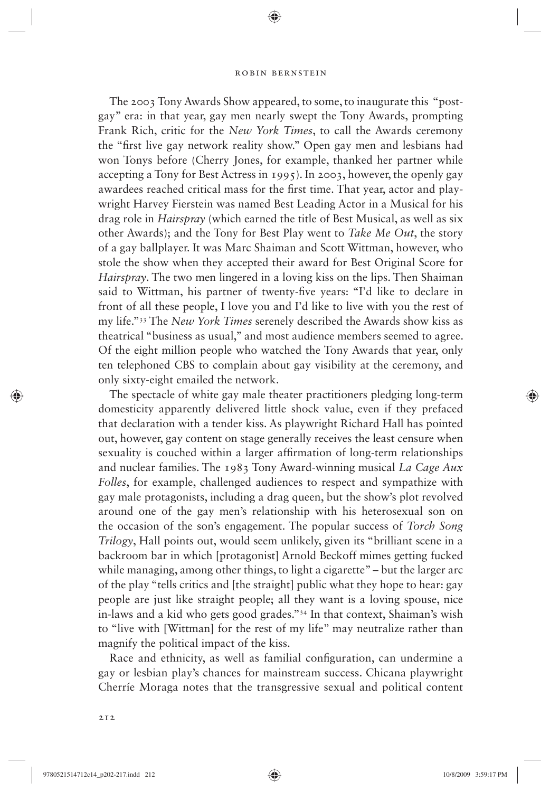♠

The 2003 Tony Awards Show appeared, to some, to inaugurate this "postgay" era: in that year, gay men nearly swept the Tony Awards, prompting Frank Rich, critic for the *New York Times*, to call the Awards ceremony the "first live gay network reality show." Open gay men and lesbians had won Tonys before (Cherry Jones, for example, thanked her partner while accepting a Tony for Best Actress in 1995). In 2003, however, the openly gay awardees reached critical mass for the first time. That year, actor and playwright Harvey Fierstein was named Best Leading Actor in a Musical for his drag role in *Hairspray* (which earned the title of Best Musical, as well as six other Awards); and the Tony for Best Play went to *Take Me Out*, the story of a gay ballplayer. It was Marc Shaiman and Scott Wittman, however, who stole the show when they accepted their award for Best Original Score for *Hairspray*. The two men lingered in a loving kiss on the lips. Then Shaiman said to Wittman, his partner of twenty-five years: "I'd like to declare in front of all these people, I love you and I'd like to live with you the rest of my life." 33 The *New York Times* serenely described the Awards show kiss as theatrical "business as usual," and most audience members seemed to agree. Of the eight million people who watched the Tony Awards that year, only ten telephoned CBS to complain about gay visibility at the ceremony, and only sixty-eight emailed the network.

The spectacle of white gay male theater practitioners pledging long-term domesticity apparently delivered little shock value, even if they prefaced that declaration with a tender kiss. As playwright Richard Hall has pointed out, however, gay content on stage generally receives the least censure when sexuality is couched within a larger affirmation of long-term relationships and nuclear families. The 1983 Tony Award-winning musical *La Cage Aux Folles*, for example, challenged audiences to respect and sympathize with gay male protagonists, including a drag queen, but the show's plot revolved around one of the gay men's relationship with his heterosexual son on the occasion of the son's engagement. The popular success of *Torch Song Trilogy*, Hall points out, would seem unlikely, given its "brilliant scene in a backroom bar in which [protagonist] Arnold Beckoff mimes getting fucked while managing, among other things, to light a cigarette" – but the larger arc of the play "tells critics and [the straight] public what they hope to hear: gay people are just like straight people; all they want is a loving spouse, nice in-laws and a kid who gets good grades." 34 In that context, Shaiman's wish to "live with [Wittman] for the rest of my life" may neutralize rather than magnify the political impact of the kiss.

Race and ethnicity, as well as familial configuration, can undermine a gay or lesbian play's chances for mainstream success. Chicana playwright Cherríe Moraga notes that the transgressive sexual and political content

212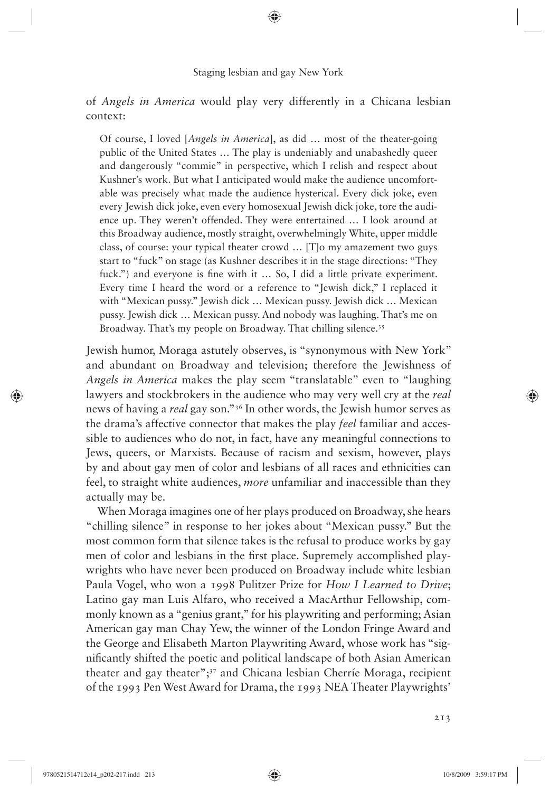⊕

of *Angels in America* would play very differently in a Chicana lesbian context:

Of course, I loved [ *Angels in America*], as did … most of the theater-going public of the United States … The play is undeniably and unabashedly queer and dangerously "commie" in perspective, which I relish and respect about Kushner's work. But what I anticipated would make the audience uncomfortable was precisely what made the audience hysterical. Every dick joke, even every Jewish dick joke, even every homosexual Jewish dick joke, tore the audience up. They weren't offended. They were entertained … I look around at this Broadway audience, mostly straight, overwhelmingly White, upper middle class, of course: your typical theater crowd … [T]o my amazement two guys start to "fuck" on stage (as Kushner describes it in the stage directions: "They fuck.") and everyone is fine with it  $\ldots$  So, I did a little private experiment. Every time I heard the word or a reference to "Jewish dick," I replaced it with "Mexican pussy." Jewish dick … Mexican pussy. Jewish dick … Mexican pussy. Jewish dick … Mexican pussy. And nobody was laughing. That's me on Broadway. That's my people on Broadway. That chilling silence.<sup>35</sup>

Jewish humor, Moraga astutely observes, is "synonymous with New York" and abundant on Broadway and television; therefore the Jewishness of *Angels in America* makes the play seem "translatable" even to "laughing lawyers and stockbrokers in the audience who may very well cry at the *real* news of having a *real* gay son." 36 In other words, the Jewish humor serves as the drama's affective connector that makes the play *feel* familiar and accessible to audiences who do not, in fact, have any meaningful connections to Jews, queers, or Marxists. Because of racism and sexism, however, plays by and about gay men of color and lesbians of all races and ethnicities can feel, to straight white audiences, *more* unfamiliar and inaccessible than they actually may be.

When Moraga imagines one of her plays produced on Broadway, she hears "chilling silence" in response to her jokes about "Mexican pussy." But the most common form that silence takes is the refusal to produce works by gay men of color and lesbians in the first place. Supremely accomplished playwrights who have never been produced on Broadway include white lesbian Paula Vogel, who won a 1998 Pulitzer Prize for *How I Learned to Drive*; Latino gay man Luis Alfaro, who received a MacArthur Fellowship, commonly known as a "genius grant," for his playwriting and performing; Asian American gay man Chay Yew, the winner of the London Fringe Award and the George and Elisabeth Marton Playwriting Award, whose work has "significantly shifted the poetic and political landscape of both Asian American theater and gay theater";<sup>37</sup> and Chicana lesbian Cherríe Moraga, recipient of the 1993 Pen West Award for Drama, the 1993 NEA Theater Playwrights'

213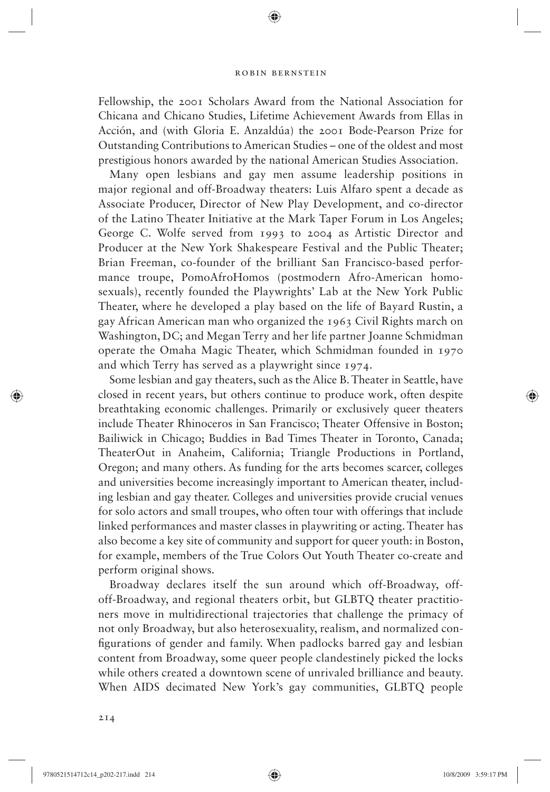♠

Fellowship, the 2001 Scholars Award from the National Association for Chicana and Chicano Studies, Lifetime Achievement Awards from Ellas in Acción, and (with Gloria E. Anzaldúa) the 2001 Bode-Pearson Prize for Outstanding Contributions to American Studies – one of the oldest and most prestigious honors awarded by the national American Studies Association.

Many open lesbians and gay men assume leadership positions in major regional and off-Broadway theaters: Luis Alfaro spent a decade as Associate Producer, Director of New Play Development, and co-director of the Latino Theater Initiative at the Mark Taper Forum in Los Angeles; George C. Wolfe served from 1993 to 2004 as Artistic Director and Producer at the New York Shakespeare Festival and the Public Theater; Brian Freeman, co-founder of the brilliant San Francisco-based performance troupe, PomoAfroHomos (postmodern Afro-American homosexuals), recently founded the Playwrights' Lab at the New York Public Theater, where he developed a play based on the life of Bayard Rustin, a gay African American man who organized the 1963 Civil Rights march on Washington, DC; and Megan Terry and her life partner Joanne Schmidman operate the Omaha Magic Theater, which Schmidman founded in 1970 and which Terry has served as a playwright since 1974.

Some lesbian and gay theaters, such as the Alice B. Theater in Seattle, have closed in recent years, but others continue to produce work, often despite breathtaking economic challenges. Primarily or exclusively queer theaters include Theater Rhinoceros in San Francisco; Theater Offensive in Boston; Bailiwick in Chicago; Buddies in Bad Times Theater in Toronto, Canada; TheaterOut in Anaheim, California; Triangle Productions in Portland, Oregon; and many others. As funding for the arts becomes scarcer, colleges and universities become increasingly important to American theater, including lesbian and gay theater. Colleges and universities provide crucial venues for solo actors and small troupes, who often tour with offerings that include linked performances and master classes in playwriting or acting. Theater has also become a key site of community and support for queer youth: in Boston, for example, members of the True Colors Out Youth Theater co-create and perform original shows.

Broadway declares itself the sun around which off-Broadway, offoff-Broadway, and regional theaters orbit, but GLBTQ theater practitioners move in multidirectional trajectories that challenge the primacy of not only Broadway, but also heterosexuality, realism, and normalized configurations of gender and family. When padlocks barred gay and lesbian content from Broadway, some queer people clandestinely picked the locks while others created a downtown scene of unrivaled brilliance and beauty. When AIDS decimated New York's gay communities, GLBTQ people

214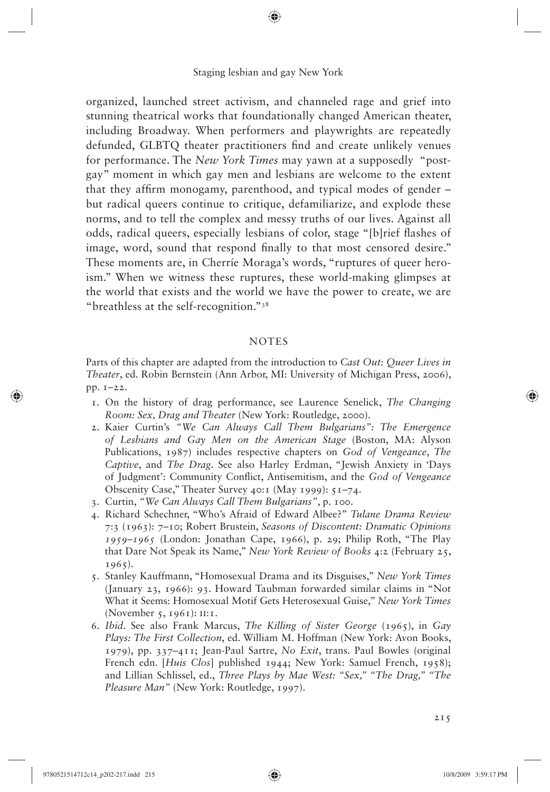organized, launched street activism, and channeled rage and grief into stunning theatrical works that foundationally changed American theater, including Broadway. When performers and playwrights are repeatedly defunded, GLBTQ theater practitioners find and create unlikely venues for performance. The *New York Times* may yawn at a supposedly "postgay" moment in which gay men and lesbians are welcome to the extent that they affirm monogamy, parenthood, and typical modes of gender – but radical queers continue to critique, defamiliarize, and explode these norms, and to tell the complex and messy truths of our lives. Against all odds, radical queers, especially lesbians of color, stage "[b]rief flashes of image, word, sound that respond finally to that most censored desire." These moments are, in Cherríe Moraga's words, "ruptures of queer heroism." When we witness these ruptures, these world-making glimpses at the world that exists and the world we have the power to create, we are "breathless at the self-recognition." 38

#### **NOTES**

Parts of this chapter are adapted from the introduction to *Cast Out: Queer Lives in Theater*, ed. Robin Bernstein (Ann Arbor, MI: University of Michigan Press, 2006), pp. 1–22.

- 1. On the history of drag performance, see Laurence Senelick, *The Changing Room: Sex, Drag and Theater* (New York: Routledge, 2000).
- 2. Kaier Curtin's *"We Can Always Call Them Bulgarians": The Emergence of Lesbians and Gay Men on the American Stage* (Boston, MA: Alyson Publications, 1987) includes respective chapters on *God of Vengeance*, *The Captive*, and *The Drag*. See also Harley Erdman, "Jewish Anxiety in 'Days of Judgment': Community Confl ict, Antisemitism, and the *God of Vengeance* Obscenity Case," Theater Survey 40:1 (May 1999): 51–74.
- 3. Curtin, *"We Can Always Call Them Bulgarians"*, p. 100.
- 4. Richard Schechner, "Who's Afraid of Edward Albee?" *Tulane Drama Review* 7:3 (1963): 7–10; Robert Brustein, *Seasons of Discontent: Dramatic Opinions 1959–1965* (London: Jonathan Cape, 1966), p. 29; Philip Roth, "The Play that Dare Not Speak its Name," *New York Review of Books* 4:2 (February 25, 1965).
- 5. Stanley Kauffmann, "Homosexual Drama and its Disguises," *New York Times* (January 23, 1966): 93. Howard Taubman forwarded similar claims in "Not What it Seems: Homosexual Motif Gets Heterosexual Guise," *New York Times* (November 5, 1961): II:1.
- 6. *Ibid*. See also Frank Marcus, *The Killing of Sister George* (1965), in *Gay Plays: The First Collection*, ed. William M. Hoffman (New York: Avon Books, 1979), pp. 337–411; Jean-Paul Sartre, *No Exit*, trans. Paul Bowles (original French edn. [*Huis Clos*] published 1944; New York: Samuel French, 1958); and Lillian Schlissel, ed., *Three Plays by Mae West: "Sex," "The Drag," "The Pleasure Man"* (New York: Routledge, 1997).

215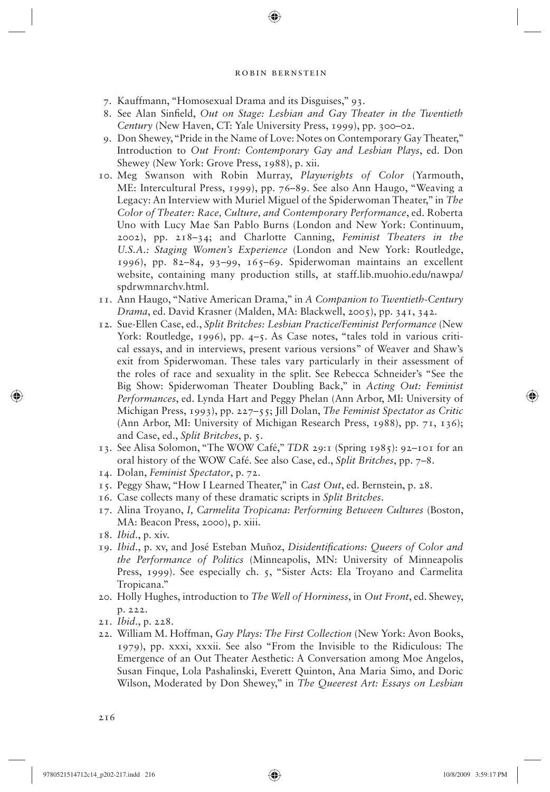- 7. Kauffmann, "Homosexual Drama and its Disguises," 93.
- 8. See Alan Sinfield, *Out on Stage: Lesbian and Gay Theater in the Twentieth Century* (New Haven, CT: Yale University Press, 1999), pp. 300–02.
- 9. Don Shewey, "Pride in the Name of Love: Notes on Contemporary Gay Theater," Introduction to *Out Front: Contemporary Gay and Lesbian Plays*, ed. Don Shewey (New York: Grove Press, 1988), p. xii.
- 10. Meg Swanson with Robin Murray, *Playwrights of Color* (Yarmouth, ME: Intercultural Press, 1999), pp. 76–89. See also Ann Haugo, "Weaving a Legacy: An Interview with Muriel Miguel of the Spiderwoman Theater," in *The Color of Theater: Race, Culture, and Contemporary Performance*, ed. Roberta Uno with Lucy Mae San Pablo Burns (London and New York: Continuum, 2002), pp. 218–34; and Charlotte Canning, *Feminist Theaters in the U.S.A.: Staging Women's Experience* (London and New York: Routledge, 1996), pp. 82–84, 93–99, 165–69. Spiderwoman maintains an excellent website, containing many production stills, at staff.lib.muohio.edu/nawpa/ spdrwmnarchv.html.
- 11. Ann Haugo, "Native American Drama," in *A Companion to Twentieth-Century Drama*, ed. David Krasner (Malden, MA: Blackwell, 2005), pp. 341, 342.
- 12. Sue-Ellen Case, ed., *Split Britches: Lesbian Practice/Feminist Performance* (New York: Routledge, 1996), pp. 4–5. As Case notes, "tales told in various critical essays, and in interviews, present various versions" of Weaver and Shaw's exit from Spiderwoman. These tales vary particularly in their assessment of the roles of race and sexuality in the split. See Rebecca Schneider's "See the Big Show: Spiderwoman Theater Doubling Back," in *Acting Out: Feminist Performances*, ed. Lynda Hart and Peggy Phelan (Ann Arbor, MI: University of Michigan Press, 1993), pp. 227–55; Jill Dolan, *The Feminist Spectator as Critic* (Ann Arbor, MI: University of Michigan Research Press, 1988), pp. 71, 136); and Case, ed., *Split Britches*, p. 5.
- 13. See Alisa Solomon, "The WOW Café," *TDR* 29:1 (Spring 1985): 92–101 for an oral history of the WOW Café. See also Case, ed., *Split Britches*, pp. 7–8.
- 14. Dolan, *Feminist Spectator*, p. 72.
- 15. Peggy Shaw, "How I Learned Theater," in *Cast Out*, ed. Bernstein, p. 28.
- 16. Case collects many of these dramatic scripts in *Split Britches*.
- 17. Alina Troyano, *I, Carmelita Tropicana: Performing Between Cultures* (Boston, MA: Beacon Press, 2000), p. xiii.
- 18. *Ibid*., p. xiv.
- 19. *Ibid.*, p. xv, and José Esteban Muñoz, *Disidentifications: Queers of Color and the Performance of Politics* (Minneapolis, MN: University of Minneapolis Press, 1999). See especially ch. 5, "Sister Acts: Ela Troyano and Carmelita Tropicana."
- 20. Holly Hughes, introduction to *The Well of Horniness*, in *Out Front*, ed. Shewey, p. 222.
- 21. *Ibid*., p. 228.
- 22. William M. Hoffman, *Gay Plays: The First Collection* (New York: Avon Books, 1979), pp. xxxi, xxxii. See also "From the Invisible to the Ridiculous: The Emergence of an Out Theater Aesthetic: A Conversation among Moe Angelos, Susan Finque, Lola Pashalinski, Everett Quinton, Ana Maria Simo, and Doric Wilson, Moderated by Don Shewey," in *The Queerest Art: Essays on Lesbian*